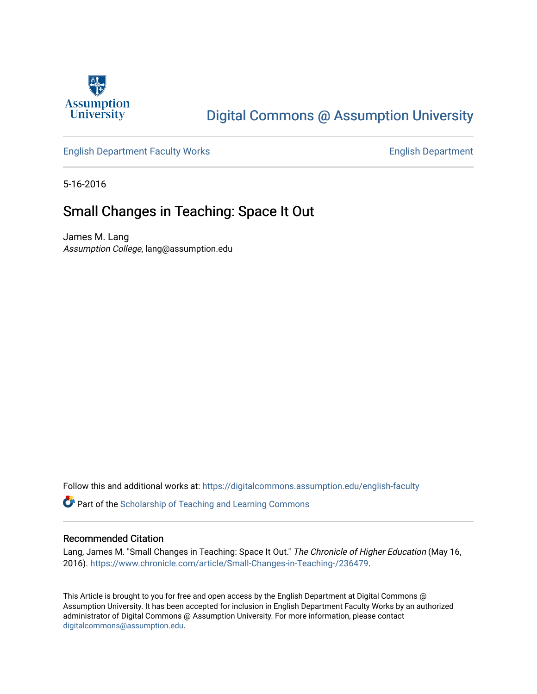

## [Digital Commons @ Assumption University](https://digitalcommons.assumption.edu/)

#### [English Department Faculty Works](https://digitalcommons.assumption.edu/english-faculty) **English Department**

5-16-2016

### Small Changes in Teaching: Space It Out

James M. Lang Assumption College, lang@assumption.edu

Follow this and additional works at: [https://digitalcommons.assumption.edu/english-faculty](https://digitalcommons.assumption.edu/english-faculty?utm_source=digitalcommons.assumption.edu%2Fenglish-faculty%2F6&utm_medium=PDF&utm_campaign=PDFCoverPages) 

**P** Part of the Scholarship of Teaching and Learning Commons

#### Recommended Citation

Lang, James M. "Small Changes in Teaching: Space It Out." The Chronicle of Higher Education (May 16, 2016).<https://www.chronicle.com/article/Small-Changes-in-Teaching-/236479>.

This Article is brought to you for free and open access by the English Department at Digital Commons @ Assumption University. It has been accepted for inclusion in English Department Faculty Works by an authorized administrator of Digital Commons @ Assumption University. For more information, please contact [digitalcommons@assumption.edu](mailto:digitalcommons@assumption.edu).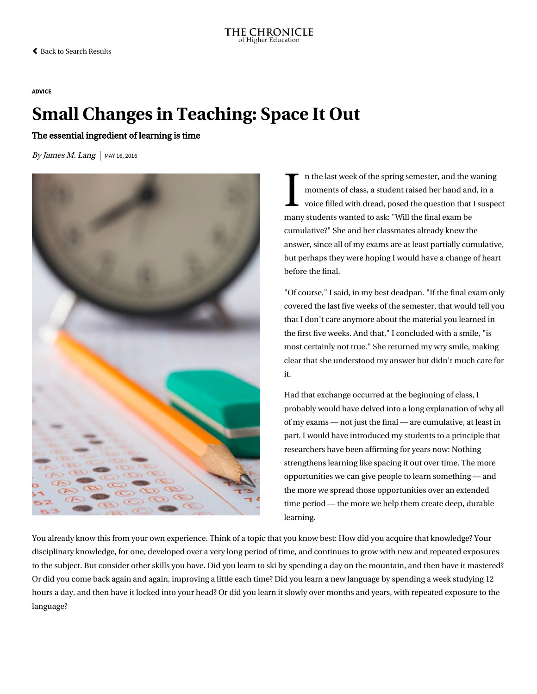[Back to Search Results](https://www.chronicle.com/search?published_date=less_than_3_years&q=%22james+m.+lang%22)

#### [ADVICE](https://www.chronicle.com/section/Advice/66)

# Small Changes in Teaching: Space It Out

The essential ingredient of learning is time

By James M. Lang | MAY 16, 2016



I n th n the last week of the spring semester, and the waning moments of class, a student raised her hand and, in a voice filled with dread, posed the question that I suspect many students wanted to ask: "Will the final exam be cumulative?" She and her classmates already knew the answer, since all of my exams are at least partially cumulative, but perhaps they were hoping I would have a change of heart before the final.

"Of course," I said, in my best deadpan. "If the final exam only covered the last five weeks of the semester, that would tell you that I don't care anymore about the material you learned in the first five weeks. And that," I concluded with a smile, "is most certainly not true." She returned my wry smile, making clear that she understood my answer but didn't much care for it.

Had that exchange occurred at the beginning of class, I probably would have delved into a long explanation of why all of my exams — not just the final — are cumulative, at least in part. I would have introduced my students to a principle that researchers have been affirming for years now: Nothing strengthens learning like spacing it out over time. The more opportunities we can give people to learn something — and the more we spread those opportunities over an extended time period — the more we help them create deep, durable learning.

You already know this from your own experience. Think of a topic that you know best: How did you acquire that knowledge? Your disciplinary knowledge, for one, developed over a very long period of time, and continues to grow with new and repeated exposures to the subject. But consider other skills you have. Did you learn to ski by spending a day on the mountain, and then have it mastered? Or did you come back again and again, improving a little each time? Did you learn a new language by spending a week studying 12 hours a day, and then have it locked into your head? Or did you learn it slowly over months and years, with repeated exposure to the language?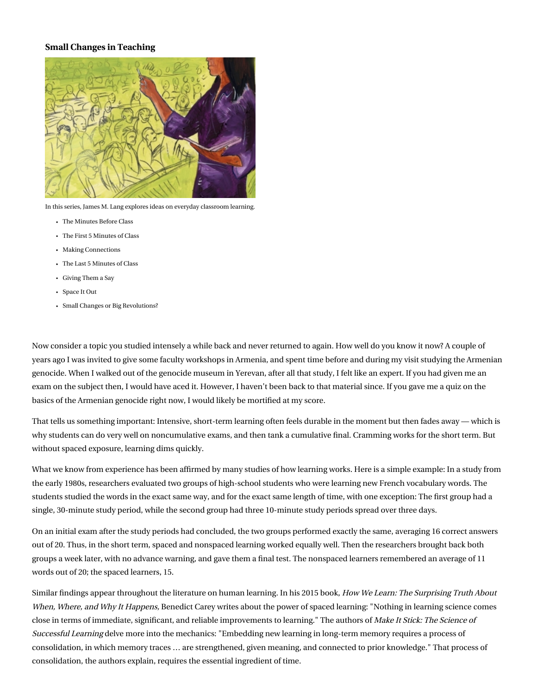#### Small Changes in Teaching



In this series, James M. Lang explores ideas on everyday classroom learning.

- [The Minutes Before Class](https://www.chronicle.com/article/Small-Changes-in-Teaching-The/234178/)
- [The First 5 Minutes of Class](https://www.chronicle.com/article/Small-Changes-in-Teaching-The/234869/)
- [Making Connections](https://www.chronicle.com/article/Small-Changes-in-Teaching-/235230/)
- [The Last 5 Minutes of Class](https://www.chronicle.com/article/Small-Changes-in-Teaching-The/235583/)
- [Giving Them a Say](https://www.chronicle.com/article/Small-Changes-in-Teaching-/235918/)
- [Space It Out](https://www.chronicle.com/article/Small-Changes-in-Teaching-/236479/)
- [Small Changes or Big Revolutions?](https://www.chronicle.com/article/Small-Changes-or-Big/236839/)

Now consider a topic you studied intensely a while back and never returned to again. How well do you know it now? A couple of years ago I was invited to give some faculty workshops in Armenia, and spent time before and during my visit studying the Armenian genocide. When I walked out of the genocide museum in Yerevan, after all that study, I felt like an expert. If you had given me an exam on the subject then, I would have aced it. However, I haven't been back to that material since. If you gave me a quiz on the basics of the Armenian genocide right now, I would likely be mortified at my score.

That tells us something important: Intensive, short-term learning often feels durable in the moment but then fades away — which is why students can do very well on noncumulative exams, and then tank a cumulative final. Cramming works for the short term. But without spaced exposure, learning dims quickly.

What we know from experience has been affirmed by many studies of how learning works. Here is a simple example: In a study from the early 1980s, researchers evaluated two groups of high-school students who were learning new French vocabulary words. The students studied the words in the exact same way, and for the exact same length of time, with one exception: The first group had a single, 30-minute study period, while the second group had three 10-minute study periods spread over three days.

On an initial exam after the study periods had concluded, the two groups performed exactly the same, averaging 16 correct answers out of 20. Thus, in the short term, spaced and nonspaced learning worked equally well. Then the researchers brought back both groups a week later, with no advance warning, and gave them a final test. The nonspaced learners remembered an average of 11 words out of 20; the spaced learners, 15.

Similar findings appear throughout the literature on human learning. In his 2015 book, How We Learn: The Surprising Truth About When, Where, and Why It Happens, [Benedict Carey writes about the power of spaced learning: "Nothing in learning science comes](http://www.amazon.com/How-We-Learn-Surprising-Happens/dp/0812984293) close in terms of immediate, significant, and reliable improvements to learning." The authors of Make It Stick: The Science of Successful Learning [delve more into the mechanics: "Embedding new learning in long-term memory requires a process of](http://www.amazon.com/Make-Stick-Science-Successful-Learning/dp/0674729013/) consolidation, in which memory traces … are strengthened, given meaning, and connected to prior knowledge." That process of consolidation, the authors explain, requires the essential ingredient of time.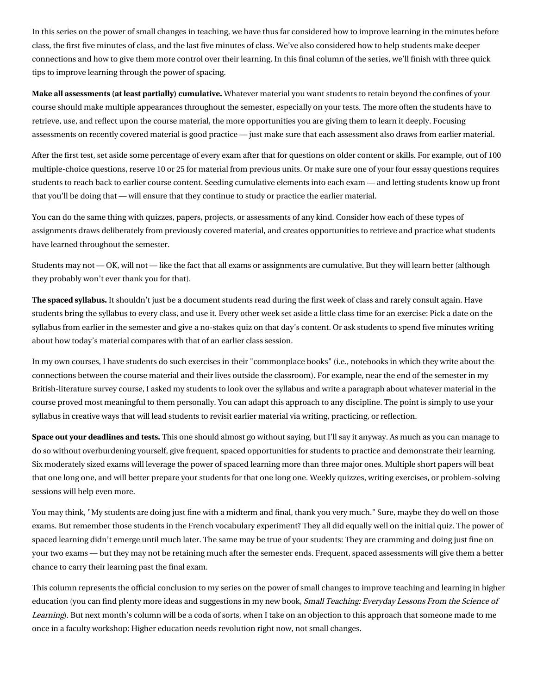[In this series on the power of small changes in teaching, we have thus far considered how to improve learning in the minutes before](http://chronicle.com/article/Small-Changes-in-Teaching-The/234178/) class, [the first five minutes of class,](http://chronicle.com/article/Small-Changes-in-Teaching-The/234869/) and [the last five minutes of class.](http://chronicle.com/article/Small-Changes-in-Teaching-The/235583) We've also considered how to help students make deeper [connections and how to give them more control over their learning. In this final column of the series, we'll finish with three qui](http://chronicle.com/article/Small-Changes-in-Teaching-/235230)ck tips to improve learning through the power of spacing.

Make all assessments (at least partially) cumulative. Whatever material you want students to retain beyond the confines of your course should make multiple appearances throughout the semester, especially on your tests. The more often the students have to retrieve, use, and reflect upon the course material, the more opportunities you are giving them to learn it deeply. Focusing assessments on recently covered material is good practice — just make sure that each assessment also draws from earlier material.

After the first test, set aside some percentage of every exam after that for questions on older content or skills. For example, out of 100 multiple-choice questions, reserve 10 or 25 for material from previous units. Or make sure one of your four essay questions requires students to reach back to earlier course content. Seeding cumulative elements into each exam — and letting students know up front that you'll be doing that — will ensure that they continue to study or practice the earlier material.

You can do the same thing with quizzes, papers, projects, or assessments of any kind. Consider how each of these types of assignments draws deliberately from previously covered material, and creates opportunities to retrieve and practice what students have learned throughout the semester.

Students may not — OK, will not — like the fact that all exams or assignments are cumulative. But they will learn better (although they probably won't ever thank you for that).

The spaced syllabus. It shouldn't just be a document students read during the first week of class and rarely consult again. Have students bring the syllabus to every class, and use it. Every other week set aside a little class time for an exercise: Pick a date on the syllabus from earlier in the semester and give a no-stakes quiz on that day's content. Or ask students to spend five minutes writing about how today's material compares with that of an earlier class session.

In my own courses, I have students do such exercises in their ["commonplace books"](http://chronicle.com/article/Small-Changes-in-Teaching-/235230) (i.e., notebooks in which they write about the connections between the course material and their lives outside the classroom). For example, near the end of the semester in my British-literature survey course, I asked my students to look over the syllabus and write a paragraph about whatever material in the course proved most meaningful to them personally. You can adapt this approach to any discipline. The point is simply to use your syllabus in creative ways that will lead students to revisit earlier material via writing, practicing, or reflection.

Space out your deadlines and tests. This one should almost go without saying, but I'll say it anyway. As much as you can manage to do so without overburdening yourself, give frequent, spaced opportunities for students to practice and demonstrate their learning. Six moderately sized exams will leverage the power of spaced learning more than three major ones. Multiple short papers will beat that one long one, and will better prepare your students for that one long one. Weekly quizzes, writing exercises, or problem-solving sessions will help even more.

You may think, "My students are doing just fine with a midterm and final, thank you very much." Sure, maybe they do well on those exams. But remember those students in the French vocabulary experiment? They all did equally well on the initial quiz. The power of spaced learning didn't emerge until much later. The same may be true of your students: They are cramming and doing just fine on your two exams — but they may not be retaining much after the semester ends. Frequent, spaced assessments will give them a better chance to carry their learning past the final exam.

This column represents the official conclusion to my series on the power of small changes to improve teaching and learning in higher education (you can find plenty more ideas and suggestions in my new book, Small Teaching: Everyday Lessons From the Science of Learning[\). But next month's column will be a coda of sorts, when I take on an objection to this approach that someone made to me](http://www.amazon.com/Small-Teaching-Everyday-Lessons-Learning/dp/1118944496) once in a faculty workshop: Higher education needs revolution right now, not small changes.